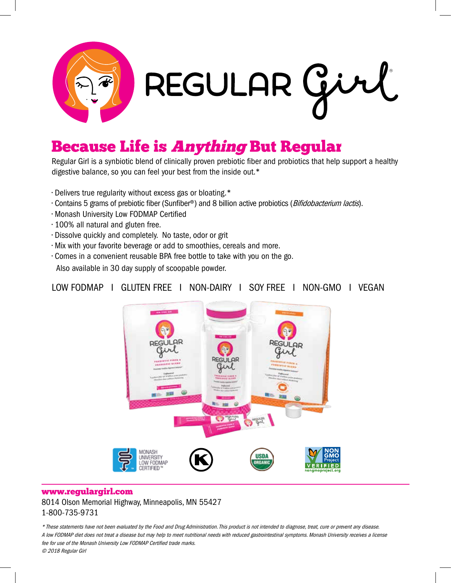

## **Because Life is Anything But Regular**

Regular Girl is a synbiotic blend of clinically proven prebiotic fiber and probiotics that help support a healthy digestive balance, so you can feel your best from the inside out.\*

- Delivers true regularity without excess gas or bloating.\*
- Contains 5 grams of prebiotic fiber (Sunfiber®) and 8 billion active probiotics (*Bifidobacterium lactis*).
- Monash University Low FODMAP Certified
- 100% all natural and gluten free.
- Dissolve quickly and completely. No taste, odor or grit
- Mix with your favorite beverage or add to smoothies, cereals and more.
- Comes in a convenient reusable BPA free bottle to take with you on the go. Also available in 30 day supply of scoopable powder.

## LOW FODMAP I GLUTEN FREE I NON-DAIRY I SOY FREE I NON-GMO I VEGAN



## www.regulargirl.com 8014 Olson Memorial Highway, Minneapolis, MN 55427 1-800-735-9731

\* These statements have not been evaluated by the Food and Drug Administration. This product is not intended to diagnose, treat, cure or prevent any disease. A low FODMAP diet does not treat a disease but may help to meet nutritional needs with reduced gastrointestinal symptoms. Monash University receives a license fee for use of the Monash University Low FODMAP Certified trade marks. © 2018 Regular Girl